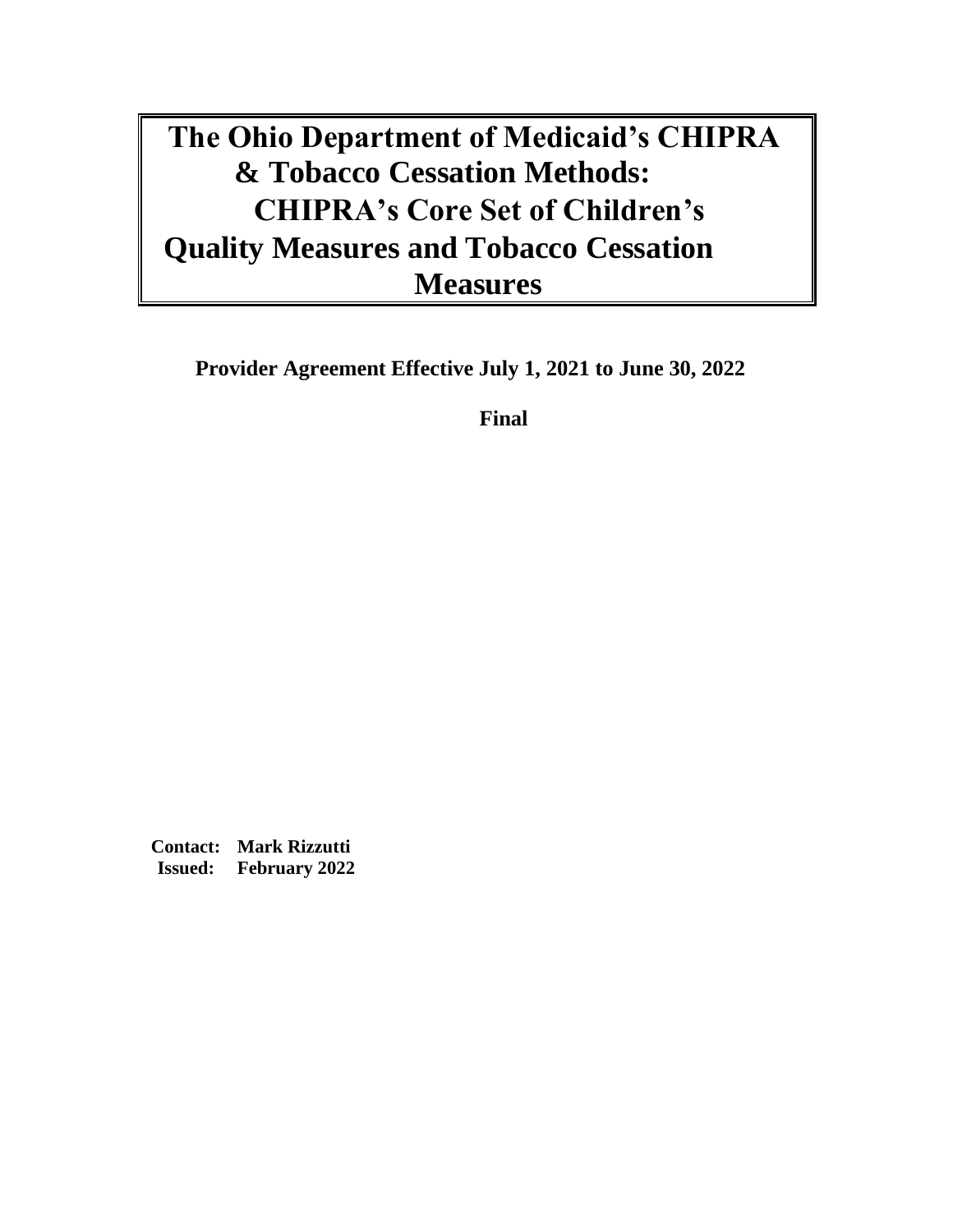# **The Ohio Department of Medicaid's CHIPRA & Tobacco Cessation Methods: CHIPRA's Core Set of Children's Quality Measures and Tobacco Cessation Measures**

**Provider Agreement Effective July 1, 2021 to June 30, 2022** 

**Final**

**Contact: Mark Rizzutti Issued: February 2022**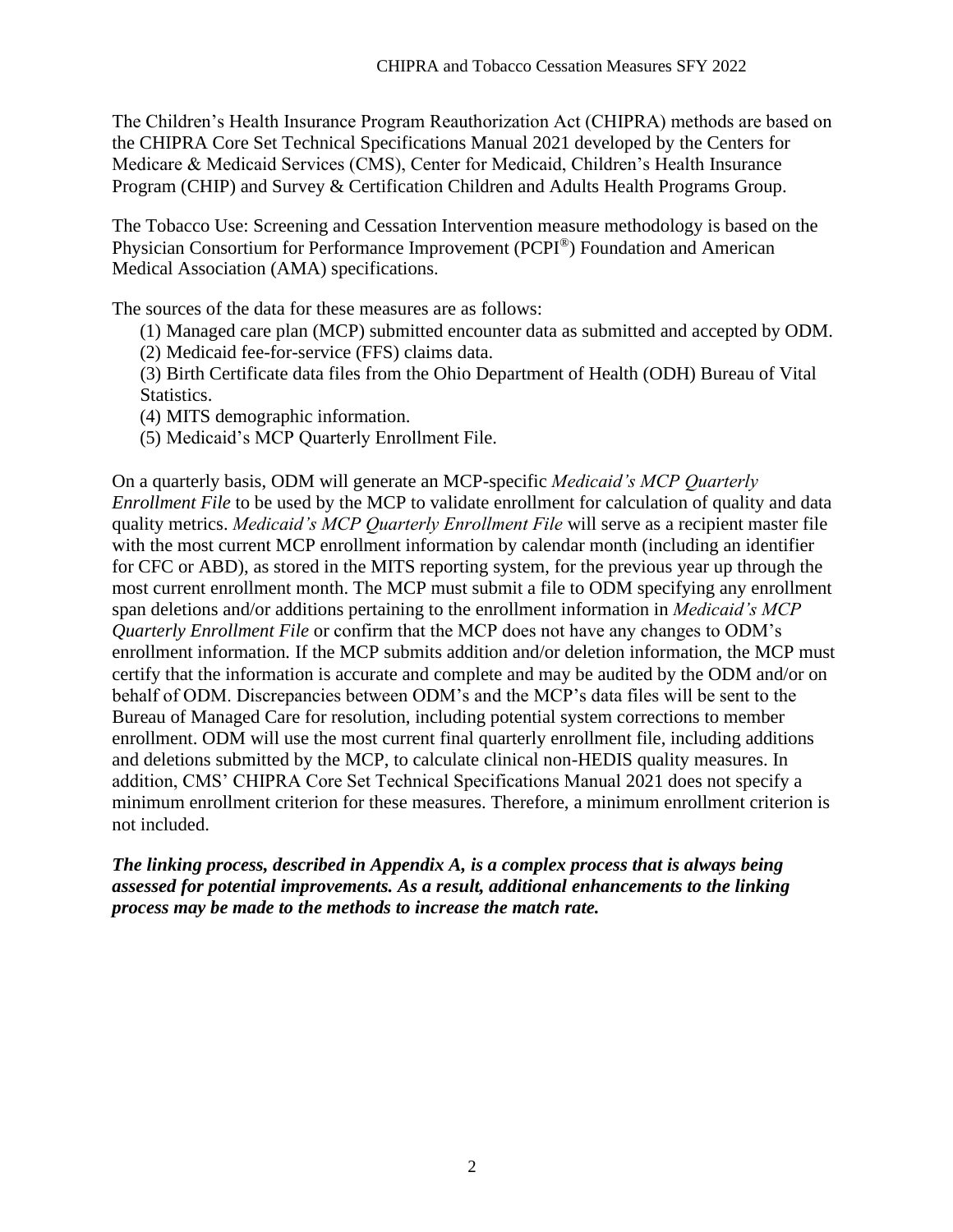The Children's Health Insurance Program Reauthorization Act (CHIPRA) methods are based on the CHIPRA Core Set Technical Specifications Manual 2021 developed by the Centers for Medicare & Medicaid Services (CMS), Center for Medicaid, Children's Health Insurance Program (CHIP) and Survey & Certification Children and Adults Health Programs Group.

The Tobacco Use: Screening and Cessation Intervention measure methodology is based on the Physician Consortium for Performance Improvement (PCPI®) Foundation and American Medical Association (AMA) specifications.

The sources of the data for these measures are as follows:

- (1) Managed care plan (MCP) submitted encounter data as submitted and accepted by ODM.
- (2) Medicaid fee-for-service (FFS) claims data.

(3) Birth Certificate data files from the Ohio Department of Health (ODH) Bureau of Vital Statistics.

(4) MITS demographic information.

(5) Medicaid's MCP Quarterly Enrollment File.

On a quarterly basis, ODM will generate an MCP-specific *Medicaid's MCP Quarterly Enrollment File* to be used by the MCP to validate enrollment for calculation of quality and data quality metrics. *Medicaid's MCP Quarterly Enrollment File* will serve as a recipient master file with the most current MCP enrollment information by calendar month (including an identifier for CFC or ABD), as stored in the MITS reporting system, for the previous year up through the most current enrollment month. The MCP must submit a file to ODM specifying any enrollment span deletions and/or additions pertaining to the enrollment information in *Medicaid's MCP Quarterly Enrollment File* or confirm that the MCP does not have any changes to ODM's enrollment information*.* If the MCP submits addition and/or deletion information, the MCP must certify that the information is accurate and complete and may be audited by the ODM and/or on behalf of ODM. Discrepancies between ODM's and the MCP's data files will be sent to the Bureau of Managed Care for resolution, including potential system corrections to member enrollment. ODM will use the most current final quarterly enrollment file, including additions and deletions submitted by the MCP, to calculate clinical non-HEDIS quality measures. In addition, CMS' CHIPRA Core Set Technical Specifications Manual 2021 does not specify a minimum enrollment criterion for these measures. Therefore, a minimum enrollment criterion is not included.

*The linking process, described in Appendix A, is a complex process that is always being assessed for potential improvements. As a result, additional enhancements to the linking process may be made to the methods to increase the match rate.*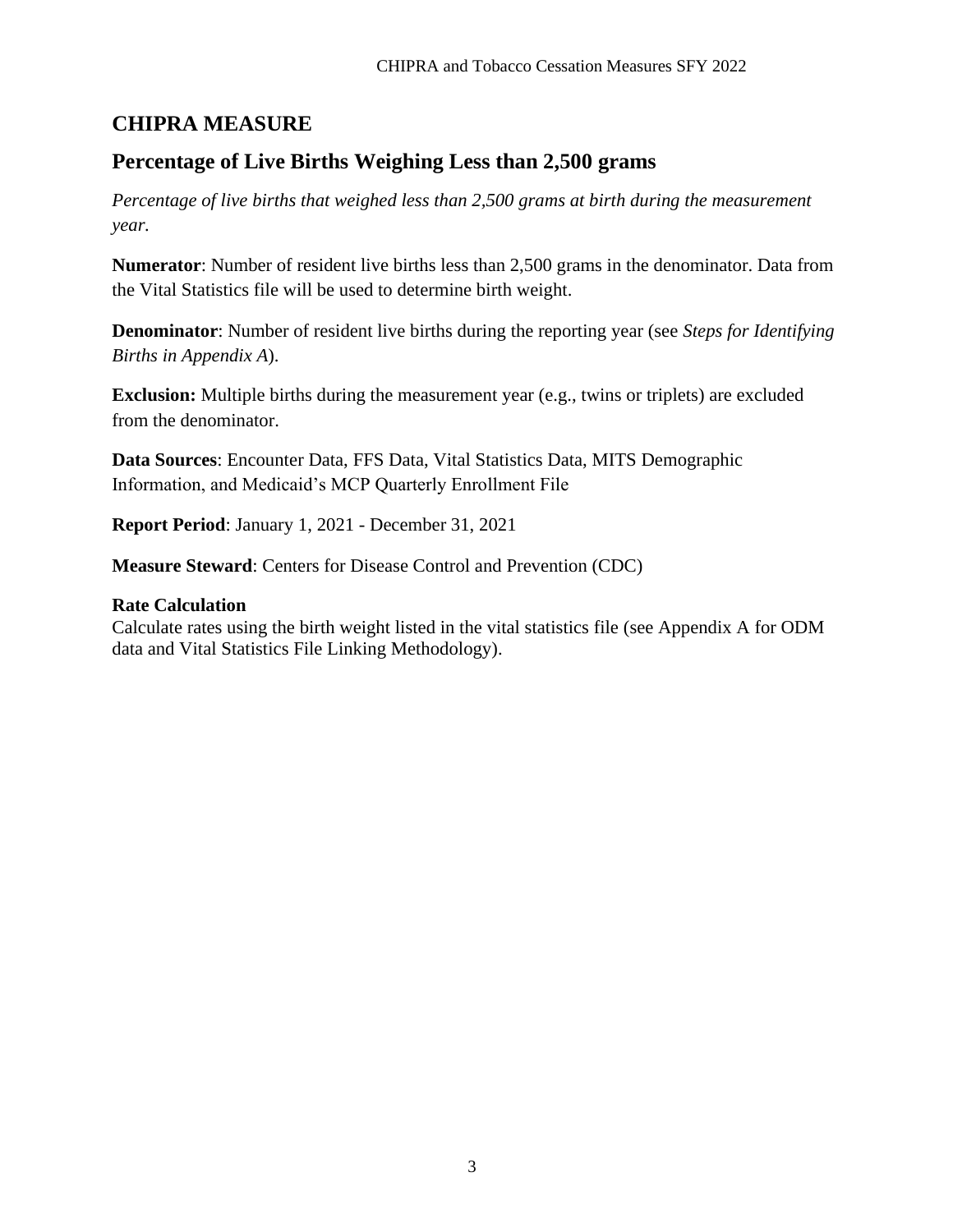## **CHIPRA MEASURE**

### **Percentage of Live Births Weighing Less than 2,500 grams**

*Percentage of live births that weighed less than 2,500 grams at birth during the measurement year.*

**Numerator**: Number of resident live births less than 2,500 grams in the denominator. Data from the Vital Statistics file will be used to determine birth weight.

**Denominator**: Number of resident live births during the reporting year (see *Steps for Identifying Births in Appendix A*).

**Exclusion:** Multiple births during the measurement year (e.g., twins or triplets) are excluded from the denominator.

**Data Sources**: Encounter Data, FFS Data, Vital Statistics Data, MITS Demographic Information, and Medicaid's MCP Quarterly Enrollment File

**Report Period**: January 1, 2021 - December 31, 2021

**Measure Steward**: Centers for Disease Control and Prevention (CDC)

#### **Rate Calculation**

Calculate rates using the birth weight listed in the vital statistics file (see Appendix A for ODM data and Vital Statistics File Linking Methodology).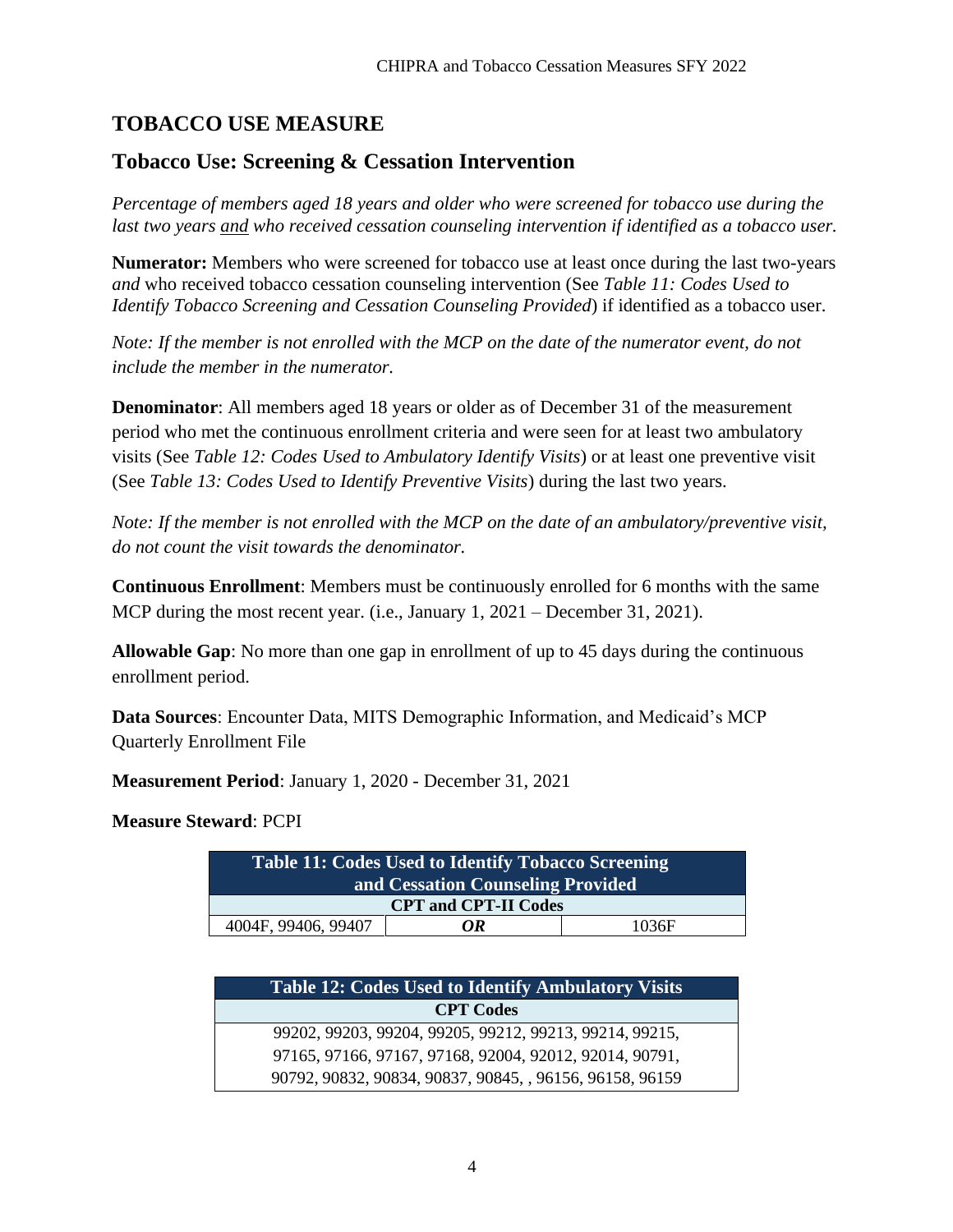# **TOBACCO USE MEASURE**

### **Tobacco Use: Screening & Cessation Intervention**

*Percentage of members aged 18 years and older who were screened for tobacco use during the last two years and who received cessation counseling intervention if identified as a tobacco user.*

**Numerator:** Members who were screened for tobacco use at least once during the last two-years *and* who received tobacco cessation counseling intervention (See *Table 11: Codes Used to Identify Tobacco Screening and Cessation Counseling Provided*) if identified as a tobacco user.

*Note: If the member is not enrolled with the MCP on the date of the numerator event, do not include the member in the numerator.*

**Denominator**: All members aged 18 years or older as of December 31 of the measurement period who met the continuous enrollment criteria and were seen for at least two ambulatory visits (See *Table 12: Codes Used to Ambulatory Identify Visits*) or at least one preventive visit (See *Table 13: Codes Used to Identify Preventive Visits*) during the last two years.

*Note: If the member is not enrolled with the MCP on the date of an ambulatory/preventive visit, do not count the visit towards the denominator.*

**Continuous Enrollment**: Members must be continuously enrolled for 6 months with the same MCP during the most recent year. (i.e., January 1, 2021 – December 31, 2021).

**Allowable Gap**: No more than one gap in enrollment of up to 45 days during the continuous enrollment period.

**Data Sources**: Encounter Data, MITS Demographic Information, and Medicaid's MCP Quarterly Enrollment File

**Measurement Period**: January 1, 2020 - December 31, 2021

**Measure Steward**: PCPI

| Table 11: Codes Used to Identify Tobacco Screening |    |       |  |
|----------------------------------------------------|----|-------|--|
| and Cessation Counseling Provided                  |    |       |  |
| <b>CPT and CPT-II Codes</b>                        |    |       |  |
| 4004F, 99406, 99407                                | OR | 1036F |  |

| <b>Table 12: Codes Used to Identify Ambulatory Visits</b> |  |  |
|-----------------------------------------------------------|--|--|
| <b>CPT Codes</b>                                          |  |  |
| 99202, 99203, 99204, 99205, 99212, 99213, 99214, 99215,   |  |  |
| 97165, 97166, 97167, 97168, 92004, 92012, 92014, 90791,   |  |  |
| 90792, 90832, 90834, 90837, 90845, , 96156, 96158, 96159  |  |  |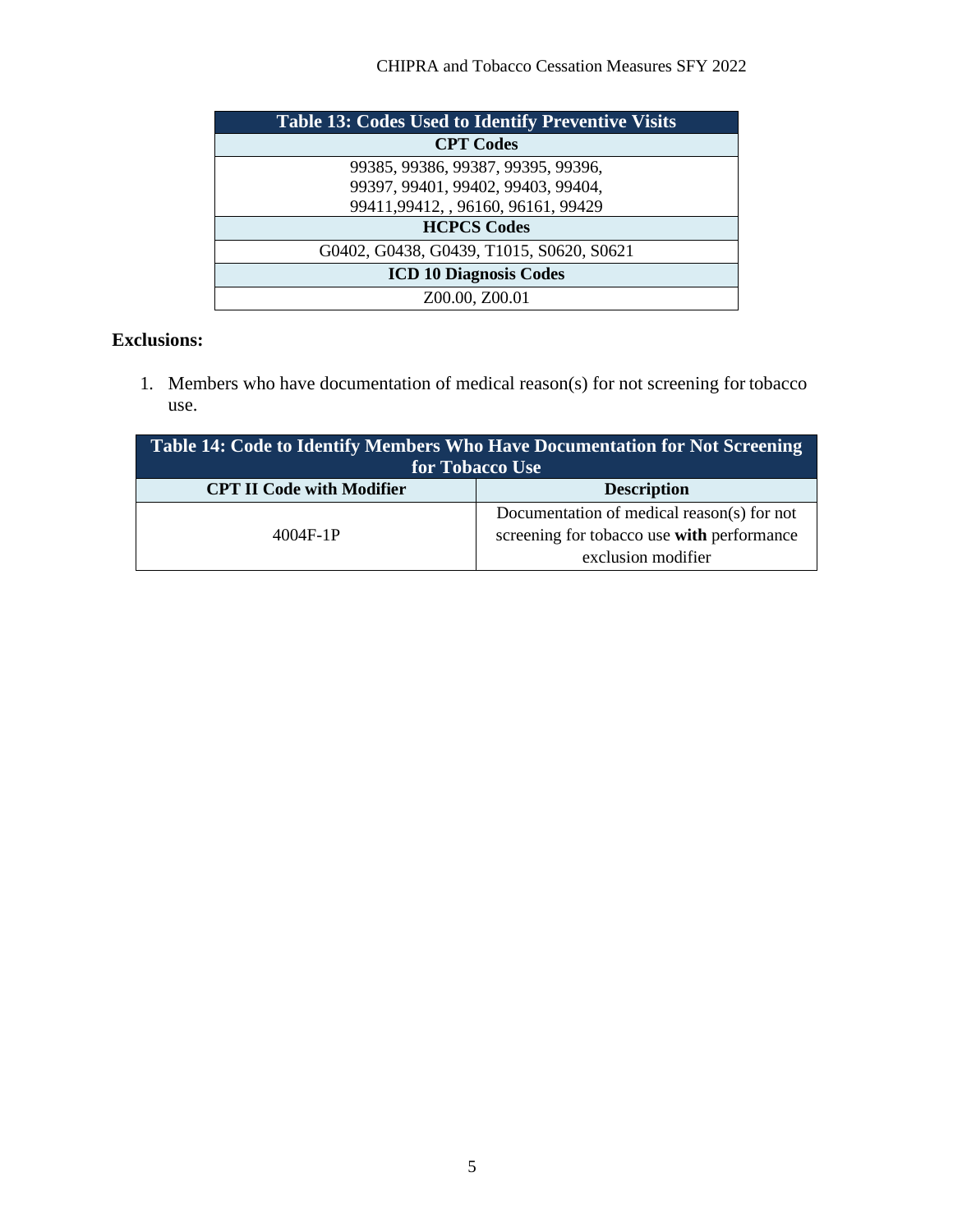| <b>Table 13: Codes Used to Identify Preventive Visits</b> |  |  |
|-----------------------------------------------------------|--|--|
| <b>CPT Codes</b>                                          |  |  |
| 99385, 99386, 99387, 99395, 99396,                        |  |  |
| 99397, 99401, 99402, 99403, 99404,                        |  |  |
| 99411,99412, , 96160, 96161, 99429                        |  |  |
| <b>HCPCS Codes</b>                                        |  |  |
| G0402, G0438, G0439, T1015, S0620, S0621                  |  |  |
| <b>ICD 10 Diagnosis Codes</b>                             |  |  |
| Z00.00, Z00.01                                            |  |  |

### **Exclusions:**

1. Members who have documentation of medical reason(s) for not screening for tobacco use.

| Table 14: Code to Identify Members Who Have Documentation for Not Screening<br>for Tobacco Use |                                                                  |  |
|------------------------------------------------------------------------------------------------|------------------------------------------------------------------|--|
| <b>CPT II Code with Modifier</b>                                                               | <b>Description</b>                                               |  |
|                                                                                                | Documentation of medical reason(s) for not                       |  |
| $4004F-1P$                                                                                     | screening for tobacco use with performance<br>exclusion modifier |  |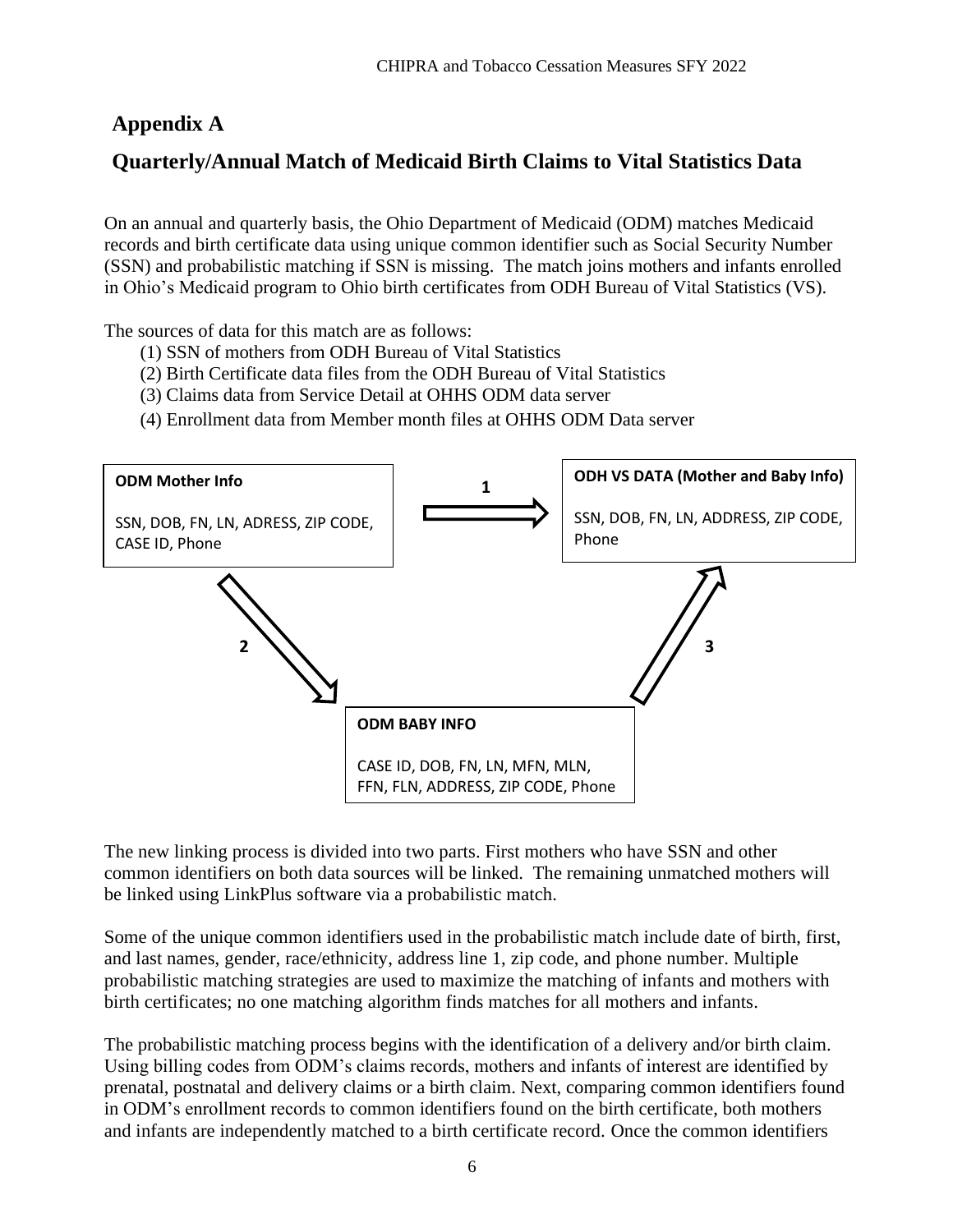# **Appendix A**

# **Quarterly/Annual Match of Medicaid Birth Claims to Vital Statistics Data**

On an annual and quarterly basis, the Ohio Department of Medicaid (ODM) matches Medicaid records and birth certificate data using unique common identifier such as Social Security Number (SSN) and probabilistic matching if SSN is missing. The match joins mothers and infants enrolled in Ohio's Medicaid program to Ohio birth certificates from ODH Bureau of Vital Statistics (VS).

The sources of data for this match are as follows:

- (1) SSN of mothers from ODH Bureau of Vital Statistics
- (2) Birth Certificate data files from the ODH Bureau of Vital Statistics
- (3) Claims data from Service Detail at OHHS ODM data server
- (4) Enrollment data from Member month files at OHHS ODM Data server



The new linking process is divided into two parts. First mothers who have SSN and other common identifiers on both data sources will be linked. The remaining unmatched mothers will be linked using LinkPlus software via a probabilistic match.

Some of the unique common identifiers used in the probabilistic match include date of birth, first, and last names, gender, race/ethnicity, address line 1, zip code, and phone number. Multiple probabilistic matching strategies are used to maximize the matching of infants and mothers with birth certificates; no one matching algorithm finds matches for all mothers and infants.

The probabilistic matching process begins with the identification of a delivery and/or birth claim. Using billing codes from ODM's claims records, mothers and infants of interest are identified by prenatal, postnatal and delivery claims or a birth claim. Next, comparing common identifiers found in ODM's enrollment records to common identifiers found on the birth certificate, both mothers and infants are independently matched to a birth certificate record. Once the common identifiers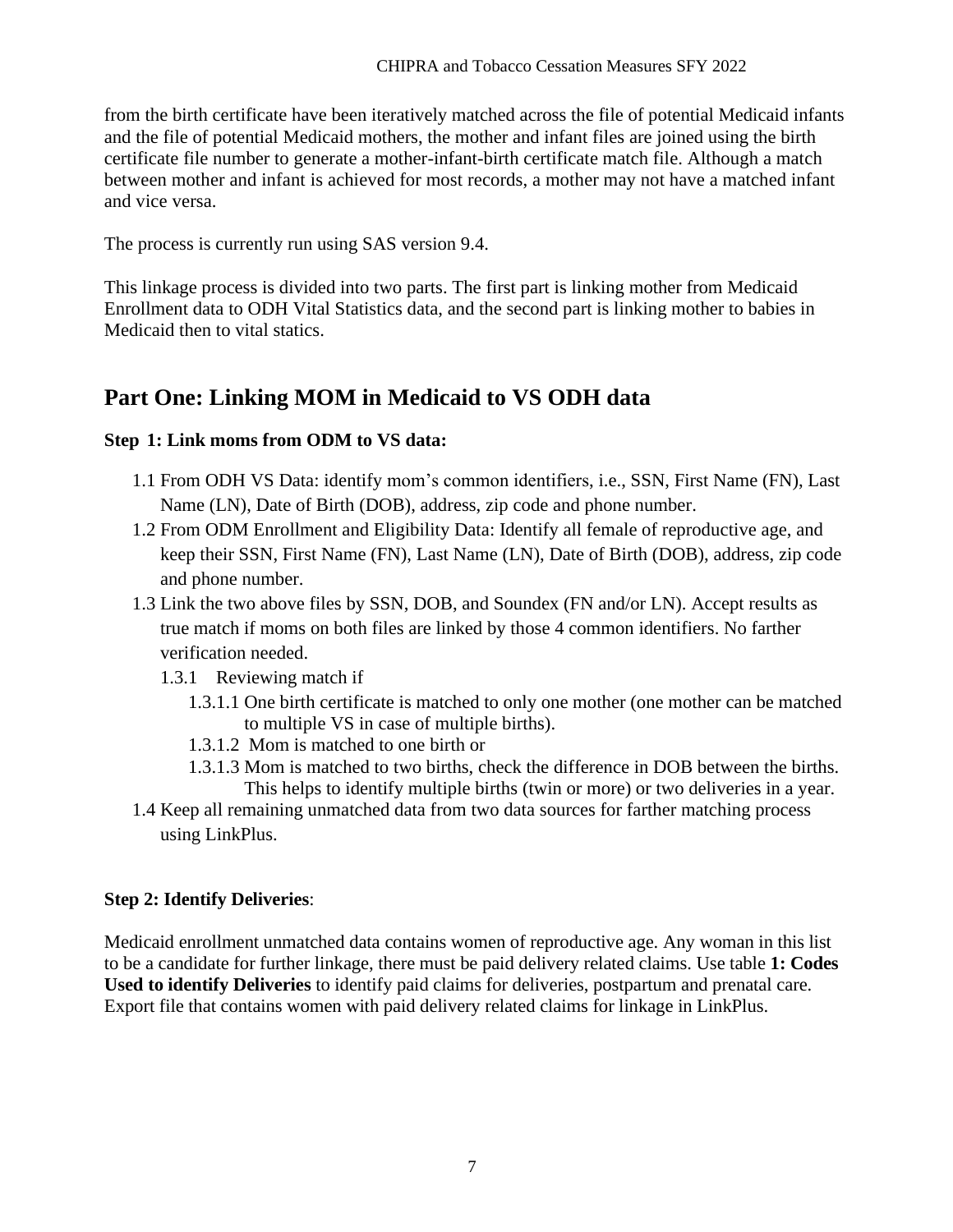from the birth certificate have been iteratively matched across the file of potential Medicaid infants and the file of potential Medicaid mothers, the mother and infant files are joined using the birth certificate file number to generate a mother-infant-birth certificate match file. Although a match between mother and infant is achieved for most records, a mother may not have a matched infant and vice versa.

The process is currently run using SAS version 9.4.

This linkage process is divided into two parts. The first part is linking mother from Medicaid Enrollment data to ODH Vital Statistics data, and the second part is linking mother to babies in Medicaid then to vital statics.

# **Part One: Linking MOM in Medicaid to VS ODH data**

### **Step 1: Link moms from ODM to VS data:**

- 1.1 From ODH VS Data: identify mom's common identifiers, i.e., SSN, First Name (FN), Last Name (LN), Date of Birth (DOB), address, zip code and phone number.
- 1.2 From ODM Enrollment and Eligibility Data: Identify all female of reproductive age, and keep their SSN, First Name (FN), Last Name (LN), Date of Birth (DOB), address, zip code and phone number.
- 1.3 Link the two above files by SSN, DOB, and Soundex (FN and/or LN). Accept results as true match if moms on both files are linked by those 4 common identifiers. No farther verification needed.
	- 1.3.1 Reviewing match if
		- 1.3.1.1 One birth certificate is matched to only one mother (one mother can be matched to multiple VS in case of multiple births).
		- 1.3.1.2 Mom is matched to one birth or
		- 1.3.1.3 Mom is matched to two births, check the difference in DOB between the births. This helps to identify multiple births (twin or more) or two deliveries in a year.
- 1.4 Keep all remaining unmatched data from two data sources for farther matching process using LinkPlus.

### **Step 2: Identify Deliveries**:

Medicaid enrollment unmatched data contains women of reproductive age. Any woman in this list to be a candidate for further linkage, there must be paid delivery related claims. Use table **1: Codes Used to identify Deliveries** to identify paid claims for deliveries, postpartum and prenatal care. Export file that contains women with paid delivery related claims for linkage in LinkPlus.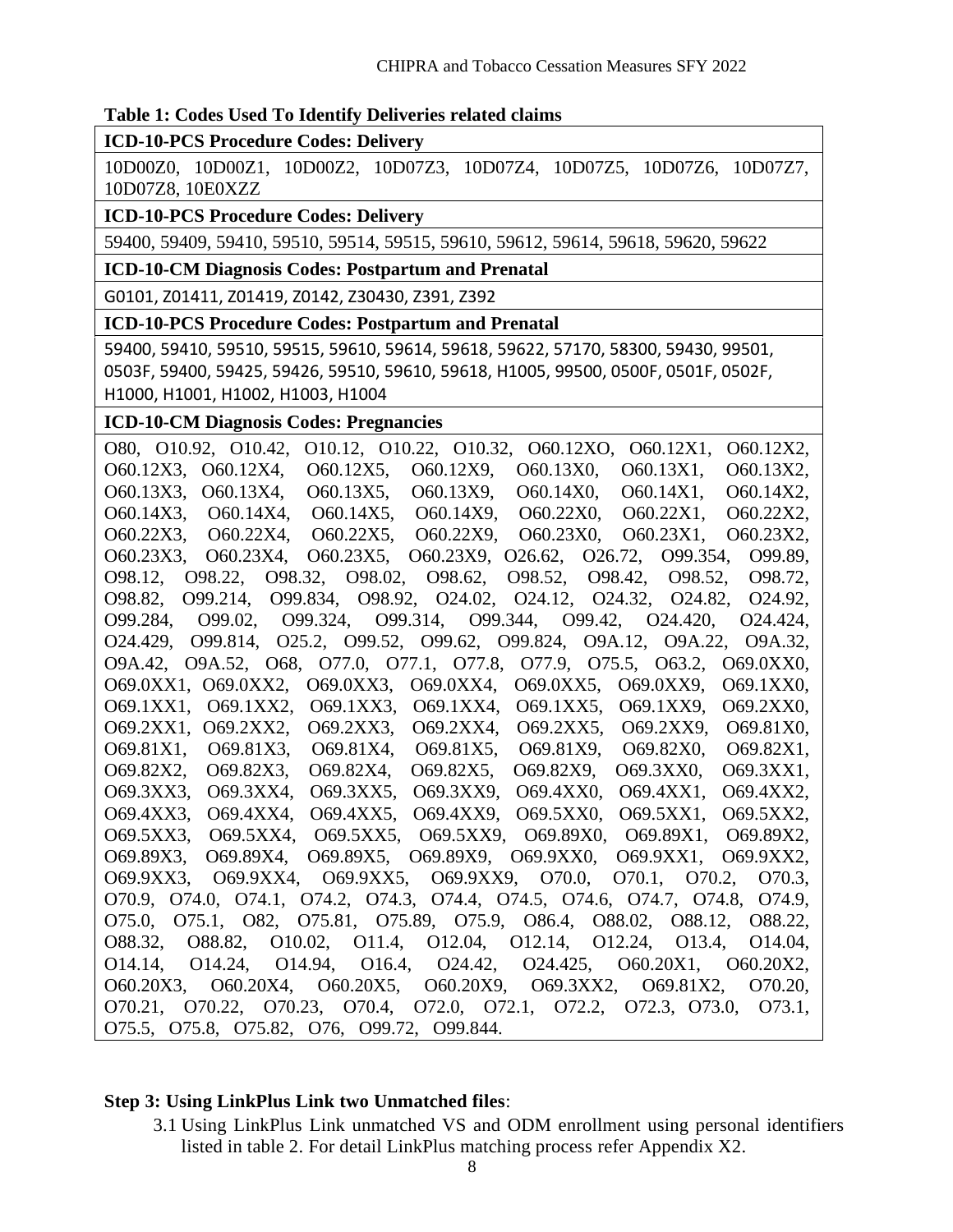#### **Table 1: Codes Used To Identify Deliveries related claims**

**ICD-10-PCS Procedure Codes: Delivery**

10D00Z0, 10D00Z1, 10D00Z2, 10D07Z3, 10D07Z4, 10D07Z5, 10D07Z6, 10D07Z7, 10D07Z8, 10E0XZZ

#### **ICD-10-PCS Procedure Codes: Delivery**

59400, 59409, 59410, 59510, 59514, 59515, 59610, 59612, 59614, 59618, 59620, 59622

**ICD-10-CM Diagnosis Codes: Postpartum and Prenatal**

G0101, Z01411, Z01419, Z0142, Z30430, Z391, Z392

#### **ICD-10-PCS Procedure Codes: Postpartum and Prenatal**

59400, 59410, 59510, 59515, 59610, 59614, 59618, 59622, 57170, 58300, 59430, 99501, 0503F, 59400, 59425, 59426, 59510, 59610, 59618, H1005, 99500, 0500F, 0501F, 0502F, H1000, H1001, H1002, H1003, H1004

#### **ICD-10-CM Diagnosis Codes: Pregnancies**

O80, O10.92, O10.42, O10.12, O10.22, O10.32, O60.12XO, O60.12X1, O60.12X2, O60.12X3, O60.12X4, O60.12X5, O60.12X9, O60.13X0, O60.13X1, O60.13X2, O60.13X3, O60.13X4, O60.13X5, O60.13X9, O60.14X0, O60.14X1, O60.14X2, O60.14X3, O60.14X4, O60.14X5, O60.14X9, O60.22X0, O60.22X1, O60.22X2, O60.22X3, O60.22X4, O60.22X5, O60.22X9, O60.23X0, O60.23X1, O60.23X2, O60.23X3, O60.23X4, O60.23X5, O60.23X9, O26.62, O26.72, O99.354, O99.89, O98.12, O98.22, O98.32, O98.02, O98.62, O98.52, O98.42, O98.52, O98.72, O98.82, O99.214, O99.834, O98.92, O24.02, O24.12, O24.32, O24.82, O24.92, O99.284, O99.02, O99.324, O99.314, O99.344, O99.42, O24.420, O24.424, O24.429, O99.814, O25.2, O99.52, O99.62, O99.824, O9A.12, O9A.22, O9A.32, O9A.42, O9A.52, O68, O77.0, O77.1, O77.8, O77.9, O75.5, O63.2, O69.0XX0, O69.0XX1, O69.0XX2, O69.0XX3, O69.0XX4, O69.0XX5, O69.0XX9, O69.1XX0, O69.1XX1, O69.1XX2, O69.1XX3, O69.1XX4, O69.1XX5, O69.1XX9, O69.2XX0, O69.2XX1, O69.2XX2, O69.2XX3, O69.2XX4, O69.2XX5, O69.2XX9, O69.81X0, O69.81X1, O69.81X3, O69.81X4, O69.81X5, O69.81X9, O69.82X0, O69.82X1, O69.82X2, O69.82X3, O69.82X4, O69.82X5, O69.82X9, O69.3XX0, O69.3XX1, O69.3XX3, O69.3XX4, O69.3XX5, O69.3XX9, O69.4XX0, O69.4XX1, O69.4XX2, O69.4XX3, O69.4XX4, O69.4XX5, O69.4XX9, O69.5XX0, O69.5XX1, O69.5XX2, O69.5XX3, O69.5XX4, O69.5XX5, O69.5XX9, O69.89X0, O69.89X1, O69.89X2, O69.89X3, O69.89X4, O69.89X5, O69.89X9, O69.9XX0, O69.9XX1, O69.9XX2, O69.9XX3, O69.9XX4, O69.9XX5, O69.9XX9, O70.0, O70.1, O70.2, O70.3, O70.9, O74.0, O74.1, O74.2, O74.3, O74.4, O74.5, O74.6, O74.7, O74.8, O74.9, O75.0, O75.1, O82, O75.81, O75.89, O75.9, O86.4, O88.02, O88.12, O88.22, O88.32, O88.82, O10.02, O11.4, O12.04, O12.14, O12.24, O13.4, O14.04, O14.14, O14.24, O14.94, O16.4, O24.42, O24.425, O60.20X1, O60.20X2, O60.20X3, O60.20X4, O60.20X5, O60.20X9, O69.3XX2, O69.81X2, O70.20, O70.21, O70.22, O70.23, O70.4, O72.0, O72.1, O72.2, O72.3, O73.0, O73.1, O75.5, O75.8, O75.82, O76, O99.72, O99.844.

#### **Step 3: Using LinkPlus Link two Unmatched files**:

3.1 Using LinkPlus Link unmatched VS and ODM enrollment using personal identifiers listed in table 2. For detail LinkPlus matching process refer Appendix X2.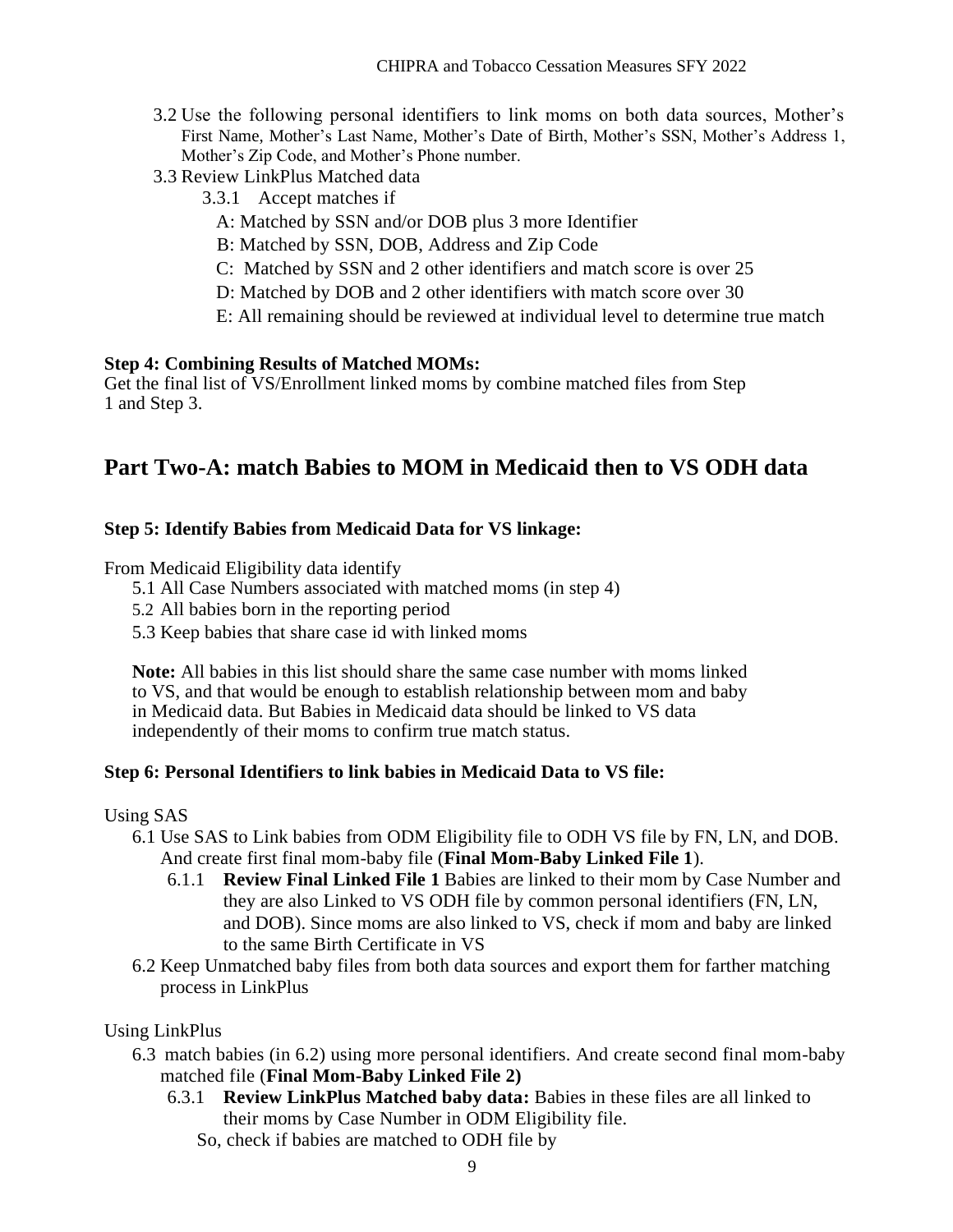- 3.2 Use the following personal identifiers to link moms on both data sources, Mother's First Name, Mother's Last Name, Mother's Date of Birth, Mother's SSN, Mother's Address 1, Mother's Zip Code, and Mother's Phone number.
- 3.3 Review LinkPlus Matched data
	- 3.3.1 Accept matches if
		- A: Matched by SSN and/or DOB plus 3 more Identifier
		- B: Matched by SSN, DOB, Address and Zip Code
		- C: Matched by SSN and 2 other identifiers and match score is over 25
	- D: Matched by DOB and 2 other identifiers with match score over 30
	- E: All remaining should be reviewed at individual level to determine true match

#### **Step 4: Combining Results of Matched MOMs:**

Get the final list of VS/Enrollment linked moms by combine matched files from Step 1 and Step 3.

### **Part Two-A: match Babies to MOM in Medicaid then to VS ODH data**

#### **Step 5: Identify Babies from Medicaid Data for VS linkage:**

From Medicaid Eligibility data identify

- 5.1 All Case Numbers associated with matched moms (in step 4)
- 5.2 All babies born in the reporting period
- 5.3 Keep babies that share case id with linked moms

**Note:** All babies in this list should share the same case number with moms linked to VS, and that would be enough to establish relationship between mom and baby in Medicaid data. But Babies in Medicaid data should be linked to VS data independently of their moms to confirm true match status.

#### **Step 6: Personal Identifiers to link babies in Medicaid Data to VS file:**

#### Using SAS

- 6.1 Use SAS to Link babies from ODM Eligibility file to ODH VS file by FN, LN, and DOB. And create first final mom-baby file (**Final Mom-Baby Linked File 1**).
	- 6.1.1 **Review Final Linked File 1** Babies are linked to their mom by Case Number and they are also Linked to VS ODH file by common personal identifiers (FN, LN, and DOB). Since moms are also linked to VS, check if mom and baby are linked to the same Birth Certificate in VS
- 6.2 Keep Unmatched baby files from both data sources and export them for farther matching process in LinkPlus

#### Using LinkPlus

- 6.3 match babies (in 6.2) using more personal identifiers. And create second final mom-baby matched file (**Final Mom-Baby Linked File 2)**
	- 6.3.1 **Review LinkPlus Matched baby data:** Babies in these files are all linked to their moms by Case Number in ODM Eligibility file.
		- So, check if babies are matched to ODH file by